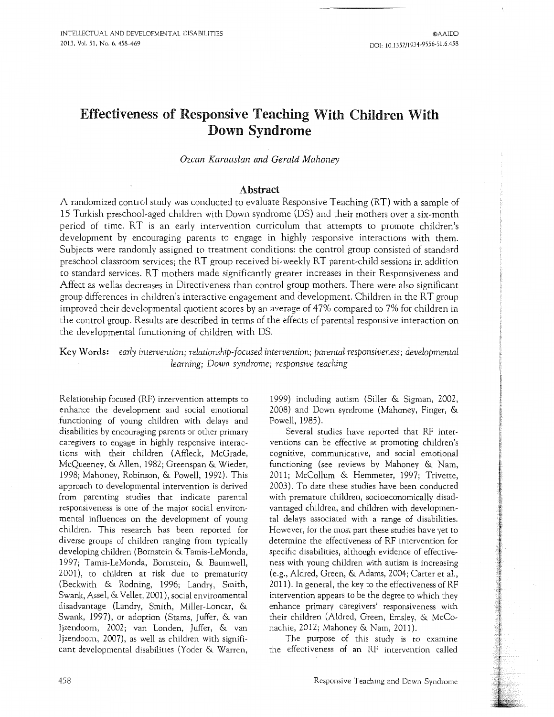# Effectiveness of Responsive Teaching With Children With Down Syndrome

*Ozcan Karaaslan and Gerald Mahoney* 

## Abstract

A randomized control study was conducted to evaluate Responsive Teaching (RT) with a sample of 15 Turkish preschool-aged children with Down syndrome (DS) and their mothers over a six-month period of time. RT is an early intervention curriculum that attempts to promote children's development by encouraging parents to engage in highly responsive interactions with them. Subjects were randomly assigned to treatment conditions: the control group consisted of standard preschool classroom services; the RT group received bi-weekly RT parent-child sessions in addition to standard services. RT mothers made significantly greater increases in their Responsiveness and Affect as wellas decreases in Directiveness than control group mothers. There were also significant group differences in children's interactive engagement and development. Children in the RT group improved their developmental quotient scores by an average of 47% compared to 7% for children in the control group. Results are described in terms of the effects of parental responsive interaction on the developmental functioning of children with DS.

Key Words: *early intervention; relationship-focused intervention; parental responsiveness; developmental learning; Down syndrome; responsive teaching* 

Relationship focused (RF) intervention attempts to enhance the development and social emotional functioning of young children with delays and disabilities by encouraging parents or other primary caregivers to engage in highly responsive interactions with their children (Affleck, McGrade, McQueeney, & Allen, 1982; Greenspan & Wieder, 1998; Mahoney, Robinson, & Powell, 1992). This approach to developmental intervention is derived from parenting studies that indicate parental responsiveness is one of the major social environmental influences on the development of young children. This research has been reported for diverse groups of children ranging from typically developing children (Bomstein & Tamis-LeMonda, 1997; Tamis-LeMonda, Bomstein, & Baumwell, 2001), to children at risk due to prematurity (Beckwith & Rodning, 1996; Landry, Smith, Swank, Assel, & Vellet, 2001), social environmental disadvantage (Landry, Smith, Miller-Loncar, & Swank, 1997), or adoption (Stams, Juffer, & van ljzendoom, 2002; van Landen, Juffer, & van ljzendoom, 2007), as well as children with significant developmental disabilities (Yoder & Warren,

1999) including autism (Siller & Sigman, 2002, 2008) and Down syndrome (Mahoney, Finger, & Powell, 1985).

Several studies have reported that RF interventions can be effective at promoting children's cognitive, communicative, and social emotional functioning (see reviews by Mahoney & Nam, 2011; McCollum & Hemmeter, 1997; Trivette, 2003). To date these studies have been conducted with premature children, socioeconomically disadvantaged children, and children with developmental delays associated with a range of disabilities. However, for the most part these studies have yet to determine the effectiveness of RF intervention for specific disabilities, although evidence of effectiveness with young children with autism is increasing (e.g., Aldred, Green, & Adams, 2004; Carteret al., 2011). In general, the key to the effectiveness of RF intervention appears to be the degree to which they enhance primary caregivers' responsiveness with their children (Aldred, Green, Emsley, & McConachie, 2012; Mahoney & Nam, 2011).

The purpose of this study is to examine the effectiveness of an RF intervention called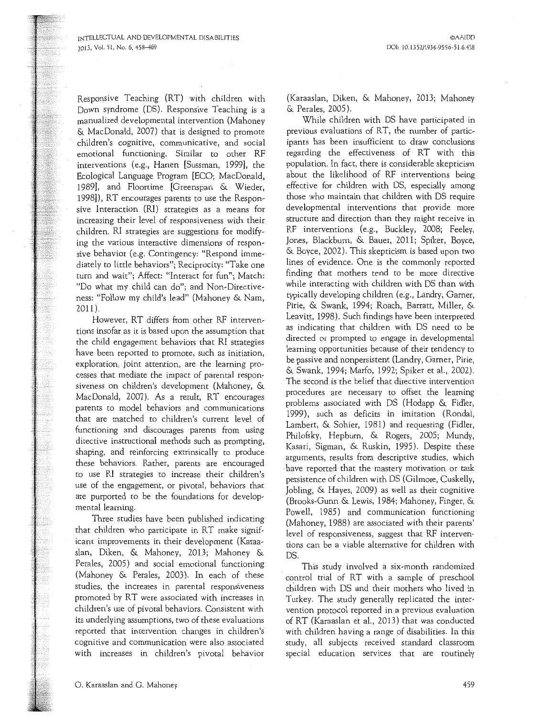Responsive Teaching (RT) with children with Down syndrome (DS). Responsive Teaching is a manualized developmental intervention (Mahoney & MacDonald, 2007) that is designed to promote children's cognitive, communicative, and social emotional functioning. Similar to other RF interventions (e.g., Hanen [Sussman, 1999], the Ecological Language Program [ECO; MacDonald, 1989], and Floortime [Greenspan & Wieder, 1998]), RT encourages parents to use the Responsive Interaction (RI) strategies as a means for increasing their level of responsiveness with their children. RI strategies are suggestions for modifying the various interactive dimensions of responsive behavior (e.g. Contingency: "Respond immediately to little behaviors"; Reciprocity: "Take one tum and wait"; Affect: "Interact for fun"; Match: "Do what my child can do"; and Non-Directiveness: "Follow my child's lead" (Mahoney & Nam, 2011).

However, RT differs from other RF interventions insofar as it is based upon the assumption that the child engagement behaviors that RI strategies have been reported to promote, such as initiation, exploration, joint attention, are the learning processes that mediate the impact of parental responsiveness on children's development (Mahoney, & MacDonald, 2007). As a result, RT encourages parents to model behaviors and communications that are matched to children's current level of functioning and discourages parents from using directive instructional methods such as prompting, shaping, and reinforcing extrinsically to produce these behaviors. Rather, parents are encouraged to use RI strategies to increase their children's use of the engagement, or pivotal, behaviors that are purported to be the foundations for developmental learning.

Three studies have been published indicating that children who participate in RT make significant improvements in their development (Karaaslan, Diken, & Mahoney, 2013; Mahoney & Perales, 2005) and social emotional functioning (Mahoney & Perales, 2003). In each of these studies, the increases in parental responsiveness promoted by RT were associated with increases in children's use of pivotal behaviors. Consistent with its underlying assumptions, two of these evaluations reported that intervention changes in children's cognitive and communication were also associated with increases in children's pivotal behavior (Karaaslan, Diken, & Mahoney, 2013; Mahoney & Perales, 2005).

While children with DS have participated in previous evaluations of RT, the number of participants has been insufficient to draw conclusions regarding the effectiveness of RT with this population. In fact, there is considerable skepticism about the likelihood of RF interventions being effective for children with DS, especially among those who maintain that children with DS require developmental interventions that provide more structure and direction than they might receive in RF interventions (e.g., Buckley, 2008; Feeley, Jones, Blackburn, & Bauer, 2011; Spiker, Boyce, & Boyce, 2002). This skepticism is based upon two lines of evidence. One is the commonly reported finding that mothers tend to be more directive while interacting with children with DS than with typically developing children (e.g., Landry, Gamer, Pirie, & Swank, 1994; Roach, Barratt, Miller, & Leavitt, 1998). Such findings have been interpreted as indicating that children with DS need to be directed or prompted to engage in developmental learning opportunities because of their tendency to be passive and nonpersistent (Landry, Gamer, Pirie, & Swank, 1994; Marfo, 1992; Spiker et a!., 2002). The second is the belief that directive intervention procedures are necessary to offset the learning problems associated with DS (Hodapp & Fidler, 1999), such as deficits in imitation (Ronda!, Lambert, & Sohier, 1981) and requesting (Fidler, Philofsky, Hepburn, & Rogers, 2005; Mundy, Kasari, Sigman, & Ruskin, 1995). Despite these arguments, results from descriptive studies, which have reported that the mastery motivation or task persistence of children with DS (Gilmore, Cuskelly, Jobling, & Hayes, 2009) as well as their cognitive (Brooks-Gunn & Lewis, 1984; Mahoney, Finger, & Powell, 1985) and communication functioning (Mahoney, 1988) are associated with their parents' level of responsiveness, suggest that RF interventions can be a viable alternative for children with DS.

This study involved a six-month randomized control trial of RT with a sample of preschool children with DS and their mothers who lived in Turkey. The study generally replicated the intervention protocol reported in a previous evaluation of RT (Karaaslan et al., 2013) that was conducted with children having a range of disabilities. In this study, all subjects received standard classroom special education services that are routinely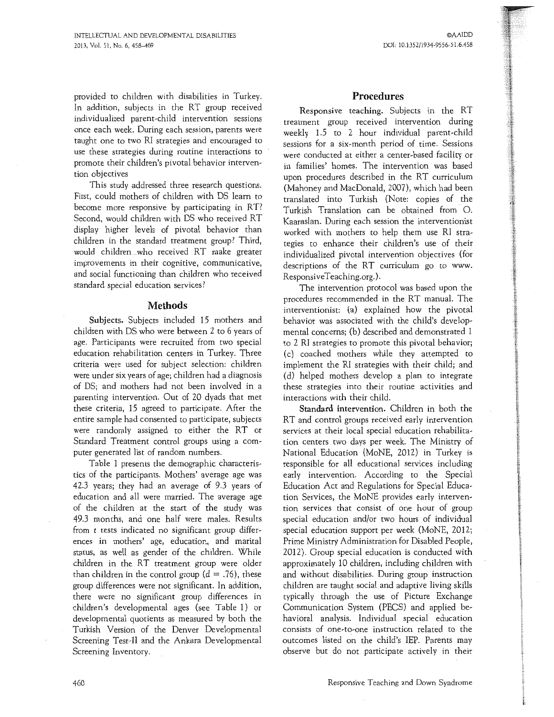provided to children with disabilities in Turkey. In addition, subjects in the RT group received individualized parent-child intervention sessions once each week. During each session, parents were taught one to two RI strategies and encouraged to use these strategies during routine interactions to promote their children's pivotal behavior intervention objectives

This study addressed three research questions. First, could mothers of children with DS learn to become more responsive by participating in RT? Second, would children with DS who received RT display higher levels of pivotal behavior than children in the standard treatment group? Third, would children who received RT make greater improvements in their cognitive, communicative, and social functioning than children who received standard special education services?

### Methods

Subjects. Subjects included 15 mothers and children with DS who were between 2 to 6 years of age. Participants were recruited from two special education rehabilitation centers in Turkey. Three criteria were used for subject selection: children were under six years of age; children had a diagnosis of DS; and mothers had not been involved in a parenting intervention. Out of 20 dyads that met these criteria, 15 agreed to participate. After the entire sample had consented to participate, subjects were randomly assigned to either the RT or Standard Treatment control groups using a computer generated list of random numbers.

Table 1 presents the demographic characteristics of the participants. Mothers' average age was 42.3 years; they had an average of 9.3 years of education and all were married. The average age of the children at the start of the study was 49.3 months, and one half were males. Results from *t* tests indicated no significant group differences in mothers' age, education, and marital status, as well as gender of the children. While children in the RT treatment group were older than children in the control group  $(d = .76)$ , these group differences were not significant. In addition, there were no significant group differences in children's developmental ages (see Table 1) or developmental quotients as measured by both the Turkish Version of the Denver Developmental Screening Test-II and the Ankara Developmental Screening Inventory.

### Procedures

Responsive teaching. Subjects in the RT treatment group received intervention during weekly 1.5 to 2 hour individual parent-child sessions for a six-month period of time. Sessions were conducted at either a center-based facility or in families' homes. The intervention was based upon procedures described in the RT curriculum (Mahoney and MacDonald, 2007), which had been translated into Turkish (Note: copies of the Turkish Translation can be obtained from 0. Kaaraslan. During each session the interventionist worked with mothers to help them use RI strategies to enhance their children's use of their individualized pivotal intervention objectives (for descriptions of the RT curriculum go to www. Responsive Teaching.org.).

The intervention protocol was based upon the procedures recommended in the RT manual. The interventionist: (a) explained how the pivotal behavior was associated with the child's developmental concerns; (b) described and demonstrated 1 to 2 RI strategies to promote this pivotal behavior; (c) coached mothers while they attempted to implement the RI strategies with their child; and (d) helped mothers develop a plan to integrate these strategies into their routine activities and interactions with their child.

Standard intervention. Children in both the RT and control groups received early intervention services at their local special education rehabilitation centers two days per week. The Ministry of National Education (MoNE, 2012) in Turkey is responsible for all educational services including early intervention. According to the Special Education Act and Regulations for Special Education Services, the MoNE provides early intervention services that consist of one hour of group special education and/or two hours of individual special education support per week (MoNE, 2012; Prime Ministry Administration for Disabled People, 2012). Group special education is conducted with approximately 10 children, including children with and without disabilities. During group instruction children are taught social and adaptive living skills typically through the use of Picture Exchange Communication System (PECS) and applied behavioral analysis. Individual special education consists of one-to-one instruction related to the outcomes listed on the child's IEP. Parents may observe but do not participate actively in their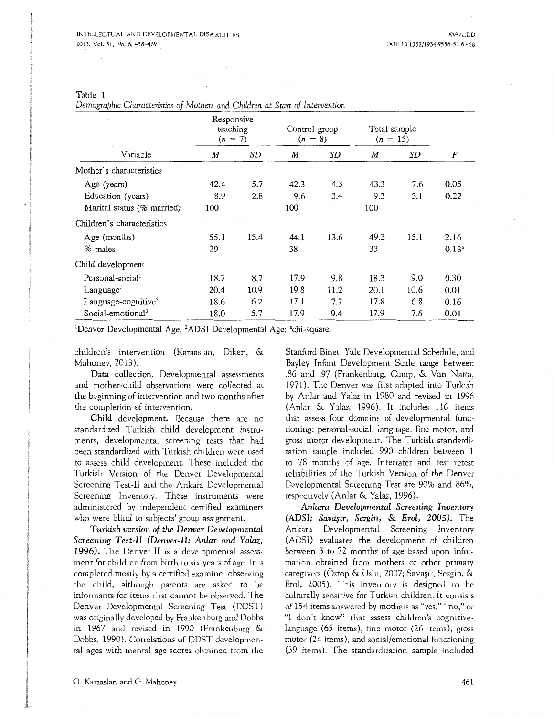|                                 | Responsive<br>teaching<br>$(n = 7)$ |      | Control group<br>$(n = 8)$ |      | Total sample<br>$(n = 15)$ |      |          |
|---------------------------------|-------------------------------------|------|----------------------------|------|----------------------------|------|----------|
| Variable                        | M                                   | SD   | M                          | SD   | M                          | SD   | F        |
| Mother's characteristics        |                                     |      |                            |      |                            |      |          |
| Age (years)                     | 42.4                                | 5.7  | 42.3                       | 4.3  | 43.3                       | 7.6  | 0.05     |
| Education (years)               | 8.9                                 | 2.8  | 9.6                        | 3.4  | 9.3                        | 3.1  | 0.22     |
| Marital status (% married)      | 100                                 |      | 100                        |      | 100                        |      |          |
| Children's characteristics      |                                     |      |                            |      |                            |      |          |
| Age (months)                    | 55.1                                | 15.4 | 44.1                       | 13.6 | 49.3                       | 15.1 | 2.16     |
| $%$ males                       | 29                                  |      | 38                         |      | 33                         |      | $0.13^a$ |
| Child development               |                                     |      |                            |      |                            |      |          |
| Personal-social <sup>1</sup>    | 18.7                                | 8.7  | 17.9                       | 9.8  | 18.3                       | 9.0  | 0.30     |
| Language <sup>1</sup>           | 20.4                                | 10.9 | 19.8                       | 11.2 | 20.1                       | 10.6 | 0.01     |
| Language-cognitive <sup>2</sup> | 18.6                                | 6.2  | 17.1                       | 7.7  | 17.8                       | 6.8  | 0.16     |
| Social-emotional <sup>2</sup>   | 18.0                                | 5.7  | 17.9                       | 9.4  | 17.9                       | 7.6  | 0.01     |

### Table 1 *Demographic Characteristics of Mothers and Children at Start of Intervention*

1 Denver Developmental Age; 2 ADSI Developmental Age; "chi-square.

children's intervention (Karaaslan, Diken, & Mahoney, 2013 ).

Data collection. Developmental assessments and mother-child observations were collected at the beginning of intervention and two months after the completion of intervention.

Child development. Because there are no standardized Turkish child development instru· ments, developmental screening tests that had been standardized with Turkish children were used to assess child development. These included the Turkish Version of the Denver Developmental Screening Test-Il and the Ankara Developmental Screening Inventory. These instruments were administered by independent certified examiners who were blind to subjects' group assignment.

*Turkish version of the Denver Developmental Screening Test-II (Denver-II: Anlar and Yalaz,*  1996). The Denver II is a developmental assessment for children from birth to six years of age. It is completed mostly by a certified examiner observing the child, although parents are asked to be informants for items that cannot be observed. The Denver Developmental Screening Test (DDST) was originally developed by Frankenburg and Dobbs in 1967 and revised in 1990 (Frankenburg & Dobbs, 1990). Correlations of DDST developmen· tal ages with mental age scores obtained from the

Stanford Binet, Yale Developmental Schedule, and Bayley Infant Development Scale range between .86 and .97 (Frankenburg, Camp, & Van Natta, 1971). The Denver was first adapted into Turkish by Anlar and Yalaz in 1980 and revised in 1996 (Anlar & Yalaz, 1996). It includes 116 items that assess four domains of developmental functioning: personal-social, language, fine motor, and gross motor development. The Turkish standardization sample included 990 children between 1 to 78 months of age. Interrater and test-retest reliabilities of the Turkish Version of the Denver Developmental Screening Test are 90% and 86%, respectively (Anlar & Yalaz, 1996).

*Ankara Developmental Screening Inventory (ADSI; Savaşır, Sezgin, & Erol, 2005).* The Ankara Developmental Screening Inventory (ADSI) evaluates the development of children between 3 to 72 months of age based upon information obtained from mothers or other primary caregivers (Oztop & Uslu, 2007; Sava§tr, Sezgin, & Erol, 2005). This inventory is designed to be culturally sensitive for Turkish children. It consists of 154 items answered by mothers as "yes," "no," or "I don't know" that assess children's cognitivelanguage (65 items), fine motor (26 items), gross motor (24 items), and social/emotional functioning (39 items). The standardization sample included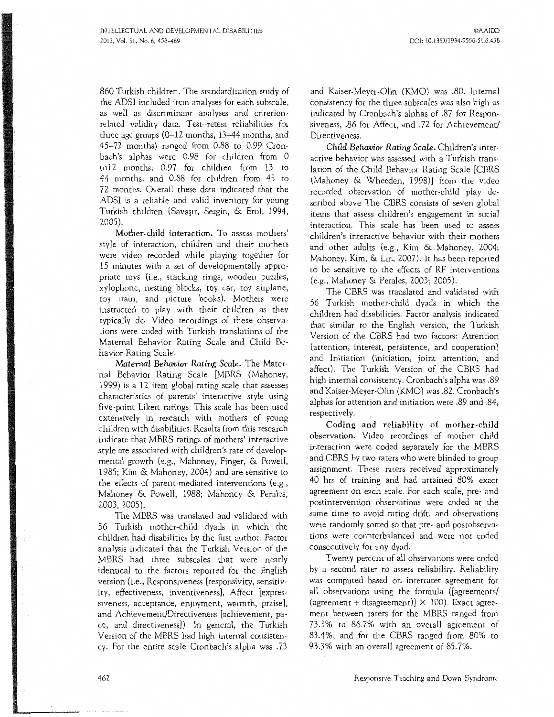860 Turkish children. The standardization study of the ADSI included item analyses for each subscale, as well as discriminant analyses and criterionrelated validity data. Test-retest reliabilities for three age groups (0-12 months, 13-44 months, and 45-72 months) ranged from 0.88 to 0.99 Cronbach's alphas were 0.98 for children from 0 to12 months; 0.97 for children from 13 to 44 months; and 0.88 for children from 45 to 72 months. Overall these data indicated that the ADSI is a reliable and valid inventory for young Turkish children (Sava§tr, Sezgin, & Erol, 1994, 2005).

**Mother-child interaction.** To assess mothers' style of interaction, children and their mothers were video recorded while playing- together for 15 minutes with a set of developmentally appropriate toys (i.e., stacking rings, wooden puzzles, xylophone, nesting blocks, toy car, toy airplane, toy train, and picture books). Mothers were instructed to play with their children as they typically do. Video recordings of these observations were coded with Turkish translations of the Maternal Behavior Rating Scale and Child Behavior Rating Scale.

*Maternal Behavior Rating Scale.* The Maternal Behavior Rating Scale [MBRS (Mahoney, 1999) is a 12 item global rating scale that assesses characteristics of parents' interactive style using five-point Likert ratings. This scale has been used extensively in research with mothers of young children with disabilities. Results from this research indicate that MBRS ratings of mothers' interactive style are associated with children's rate of developmental growth (e.g., Mahoney, Finger, & Powell, 1985; Kim & Mahoney, 2004) and are sensitive to the effects of parent-mediated interventions (e.g., Mahoney & Powell, 1988; Mahoney & Perales, 2003, 2005).

The MBRS was translated and validated with 56 Turkish mother-child dyads in which the children had disabilities by the first author. Factor analysis indicated that the Turkish Version of the MBRS had three subscales that were nearly identical to the factors reported for the English version (i.e., Responsiveness [responsivity, sensitivity, effectiveness, inventiveness], Affect [expressiveness, acceptance, enjoyment, warmth, praise], and Achievement/Directiveness [achievement, pace, and directiveness]). In general, the Turkish Version of the MBRS had high internal consistency. For the entire scale Cronbach's alpha was . 73 and Kaiser-Meyer-Olin (KMO) was .80. Internal consistency for the three subscales was also high as indicated by Cronbach's alphas of .87 for Responsiveness, .86 for Affect, and . 72 for Achievement/ Directiveness.

*Child Behavior Rating Scale.* Children's interactive behavior was assessed with a Turkish translation of the Child Behavior Rating Scale [CBRS (Mahoney & Wheeden, 1998)] from the video recorded observation of mother-child play described above The CBRS consists of seven global items that assess children's engagement in social interaction. This scale has been used to assess children's interactive behavior with their mothers and other adults {e.g., Kim & Mahoney, 2004; Mahoney, Kim, & Lin, 2007). It has been reported to be sensitive to the effects of RF interventions (e.g., Mahoney & Perales, 2003; 2005).

The CBRS was translated and validated with 56 Turkish mother-child dyads in which the children had disabilities. Factor analysis indicated that similar to the English version, the Turkish Version of the CBRS had two factors: Attention (attention, interest, persistence, and cooperation) and Initiation (initiation, joint attention, and affect). The Turkish Version of the CBRS had high internal consistency. Cronbach's alpha was .89 and Kaiser-Meyer-Olin (KMO) was .82. Cronbach's alphas for attention and initiation were .89 and .84, respectively.

**Coding and reliability of mother-child observation.** Video recordings of mother child interaction were coded separately for the MBRS and CBRS by two raters who were blinded to group assignment. These raters received approximately 40 hrs of training and had attained 80% exact agreement on each scale. For each scale, pre- and postintervention observations were coded at the same time to avoid rating drift, and observations were randomly sorted so that pre- and postobservations were counterbalanced and were not coded consecutively for any dyad.

Twenty percent of all observations were coded by a second rater to assess reliability. Reliability was computed based on interrater agreement for all observations using the formula ([agreements/ (agreement + disagreement)]  $\times$  100). Exact agreement between raters for the MBRS ranged from 73.3% to 86.7% with an overall agreement of 83.4%, and for the CBRS ranged from 80% to 93.3% with an overall agreement of 85.7%.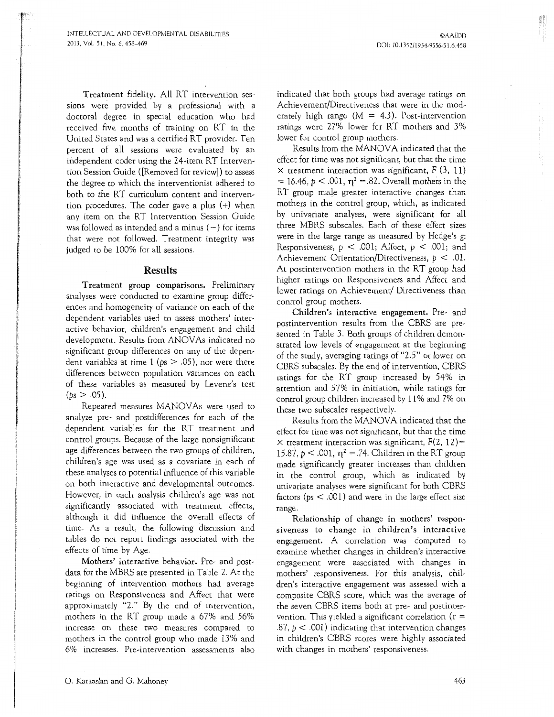Treatment fidelity. All RT intervention sessions were provided by a professional with a doctoral degree in special education who had received five months of training on RT in the United States and was a certified RT provider. Ten percent of all sessions were evaluated by an independent coder using the 24-item RT Intervention Session Guide ([Removed for review]) to assess the degree to which the interventionist adhered to both to the RT curriculum content and intervention procedures. The coder gave a plus  $(+)$  when any item on the RT Intervention Session Guide was followed as intended and a minus  $(-)$  for items that were not followed. Treatment integrity was judged to be 100% for all sessions.

#### Results

Treatment group comparisons. Preliminary analyses were conducted to examine group differences and homogeneity of variance on each of the dependent variables used to assess mothers' interactive behavior, children's engagement and child development. Results from ANOVAs indicated no significant group differences on any of the dependent variables at time 1 *(ps* > .05), nor were there differences between population variances on each of these variables as measured by Levene's test  $(bs > .05)$ .

Repeated measures MANOVAs were used to analyze pre- and postdifferences for each of the dependent variables for the RT treatment and control groups. Because of the large nonsignificant age differences between the two groups of children, children's age was used as a covariate in each of these analyses to potential influence of this variable on both interactive and developmental outcomes. However, in each analysis children's age was not significantly associated with treatment effects, although it did influence the overall effects of time. As a result, the following discussion and tables do not report findings associated with the effects of time by Age.

Mothers' interactive behavior. Pre- and postdata for the MBRS are presented in Table 2. At the beginning of intervention mothers had average ratings on Responsiveness and Affect that were approximately "2." By the end of intervention, mothers in the RT group made a 67% and 56% increase on these two measures compared to mothers in the control group who made 13% and 6% increases. Pre-intervention assessments also

indicated that both groups had average ratings on Achievement/Directiveness that were in the moderately high range  $(M = 4.3)$ . Post-intervention ratings were 27% lower for RT mothers and 3% lower for control group mothers.

Results from the MANOVA indicated that the effect for time was not significant, but that the time  $\times$  treatment interaction was significant,  $F(3, 11)$  $= 16.46$ ,  $p < .001$ ,  $n^2 = .82$ . Overall mothers in the RT group made greater interactive changes than mothers in the control group, which, as indicated by univariate analyses, were significant for all three MBRS subscales. Each of these effect sizes were in the large range as measured by Hedge's g: Responsiveness, *p* < .001; Affect, *p* < .001; and Achievement Orientation/Directiveness, *p* < .01. At postintervention mothers in the RT group had higher ratings on Responsiveness and Affect and lower ratings on Achievement/ Directiveness than control group mothers.

Children's interactive engagement. Pre- and postintervention results from the CBRS are presented in Table 3. Both groups of children demonstrated low levels of engagement at the beginning of the study, averaging ratings of "2.5" or lower on CBRS subscales. By the end of intervention, CBRS ratings for the RT group increased by 54% in attention and 57% in initiation, while ratings for control group children increased by 11% and 7% on these two subscales respectively.

Results from the MANOVA indicated that the effect for time was not significant, but that the time  $\times$  treatment interaction was significant,  $F(2, 12)$  = 15.87,  $p < .001$ ,  $\eta^2 = .74$ . Children in the RT group made significantly greater increases than children in the control group, which as indicated by univariate analyses were significant for both CBRS factors *(ps* < .001) and were in the large effect size range.

Relationship of change in mothers' responsiveness to change in children's interactive engagement. A correlation was computed to examine whether changes in children's interactive engagement were associated with changes in mothers' responsiveness. For this analysis, children's interactive engagement was assessed with a composite CBRS score, which was the average of the seven CBRS items both at pre- and postintervention. This yielded a significant correlation ( $r =$  $.87, b < .001$ ) indicating that intervention changes in children's CBRS scores were highly associated with changes in mothers' responsiveness.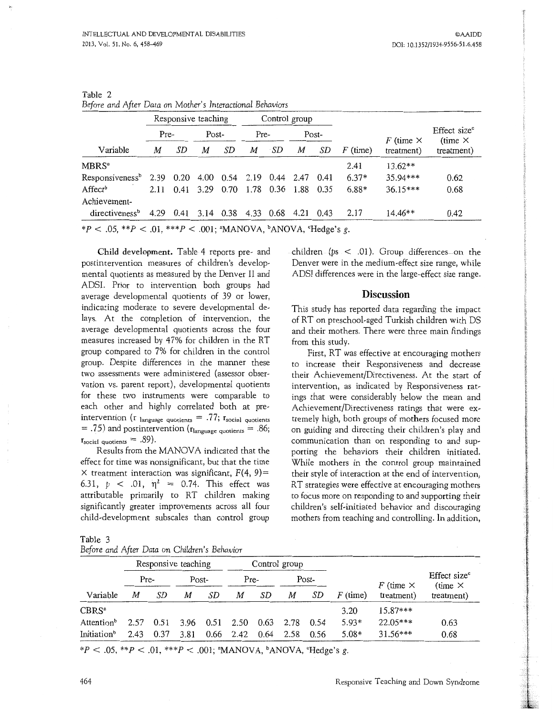| Variable                                   |      | Responsive teaching |           |                     |      | Control group            |       |      |            |                  |                                            |
|--------------------------------------------|------|---------------------|-----------|---------------------|------|--------------------------|-------|------|------------|------------------|--------------------------------------------|
|                                            | Pre- |                     | Post-     |                     | Pre- |                          | Post- |      |            | F (time $\times$ | Effect size <sup>c</sup><br>(time $\times$ |
|                                            | M    | SD                  | M         | SD                  | M    | $\cdot$ SD               | M     | SD   | $F$ (time) | treatment)       | treatment)                                 |
| MBRS <sup>a</sup>                          |      |                     |           |                     |      |                          |       |      | 2.41       | $13.62**$        |                                            |
| Responsiveness <sup>b</sup> 2.39 0.20 4.00 |      |                     |           | 0.54 2.19 0.44 2.47 |      |                          |       | 0.41 | $6.37*$    | $35.94***$       | 0.62                                       |
| Affect <sup>b</sup>                        | 2.11 |                     | 0.41 3.29 | 0.70 1.78 0.36      |      |                          | 1.88  | 0.35 | $6.88*$    | $36.15***$       | 0.68                                       |
| Achievement-                               |      |                     |           |                     |      |                          |       |      |            |                  |                                            |
| directiveness <sup>b</sup>                 | 4.29 | 0.41                | 3.14      |                     |      | 0.38 4.33 0.68 4.21 0.43 |       |      | 2.17       | $14.46**$        | 0.42                                       |

Table 2 *Before and After Data on Mother's Interactional Behaviors* 

**Child** development. Table 4 reports pre- and postintervention measures of children's developmental quotients as measured by the Denver II and ADSI. Prior to intervention both groups had average developmental quotients of 39 or lower, indicating moderate to severe developmental delays. At the completion of intervention, the average developmental quotients across the four measures increased by 47% for children in the RT group compared to 7% for children in the control group. Despite differences in the manner these two assessments were administered (assessor observation vs. parent report), developmental quotients for these two instruments were comparable to each other and highly correlated both at preintervention ( $r_{\text{language quotients}} = .77$ ;  $r_{\text{social quotients}}$  $= .75$ ) and postintervention ( $r_{\text{language quotients}} = .86$ ;  $r_{social\ quotients} = .89$ ).

Results from the MANOVA indicated that the effect for time was nonsignificant, but that the time X treatment interaction was significant,  $F(4, 9)$ = 6.31,  $p \le 0.01$ ,  $\eta^2 = 0.74$ . This effect was attributable primarily to RT children making significantly greater improvements across all four child-development subscales than control group children *(ps* < .01). Group differences on the Denver were in the medium-effect size range, while ADSI differences were in the large-effect size range.

#### **Discussion**

This study has reported data regarding the impact of RT on preschool-aged Turkish children with DS and their mothers. There were three main findings from this study.

First, RT was effective at encouraging mothers to increase their Responsiveness and decrease their Achievement/Directiveness. At the start of intervention, as indicated by Responsiveness ratings that were considerably below the mean and Achievement/Directiveness ratings that were extremely high, both groups of mothers focused more on guiding and directing their children's play and communication than on responding to and supporting the behaviors their children initiated. While mothers in the control group maintained their style of interaction at the end of intervention, RT strategies were effective at encouraging mothers to focus more on responding to and supporting their children's self-initiated behavior and discouraging mothers from teaching and controlling. In addition,

| Table 3 |  |                                              |  |
|---------|--|----------------------------------------------|--|
|         |  | Before and After Data on Children's Behavior |  |

|            | Post-        |      |      |      |       |      |        |                         |  |
|------------|--------------|------|------|------|-------|------|--------|-------------------------|--|
|            |              |      | Pre- |      | Post- |      | $Pre-$ |                         |  |
| $F$ (time) | SD<br>Μ      | SD   | М    | SD   | М     | SD   | M      | Variable                |  |
| 3.20       |              |      |      |      |       |      |        | ${\rm CBRS^a}$          |  |
| $5.93*$    | 2.78<br>0.54 | 0.63 | 2.50 | 0.51 | 3.96  | 0.51 | 2.57   | Attention <sup>b</sup>  |  |
| $5.08*$    | 0.56<br>2.58 | 0.64 | 2.42 | 0.66 | 3.81  | 0.37 | 2.43   | Initiation <sup>b</sup> |  |
|            |              |      |      |      |       |      |        |                         |  |

 $*P < .05, **P < .01, ***P < .001;$   $*MANOVA$ ,  $*ANOVA$ ,  $*Hedge's$  g.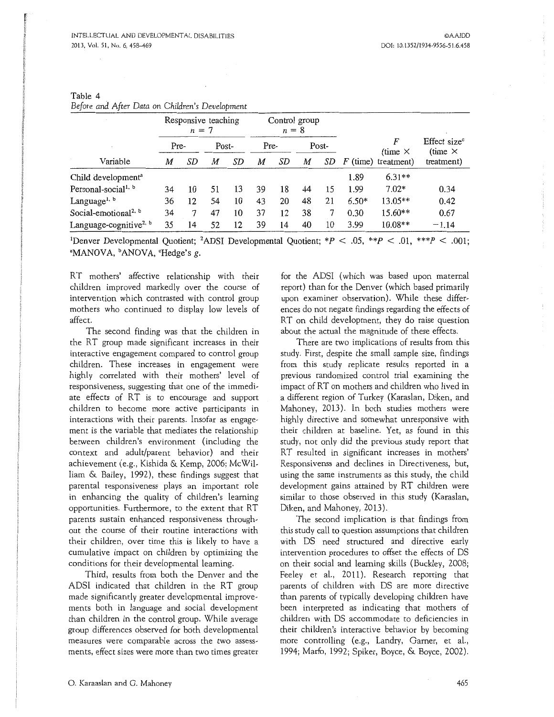| Defore and After Data on Chanen's Development |                                |    |       |    |                          |    |       |    |            |                     |                                            |
|-----------------------------------------------|--------------------------------|----|-------|----|--------------------------|----|-------|----|------------|---------------------|--------------------------------------------|
|                                               | Responsive teaching<br>$n = 7$ |    |       |    | Control group<br>$n = 8$ |    |       |    |            |                     |                                            |
|                                               | Pre-                           |    | Post- |    | Pre-                     |    | Post- |    |            | F<br>(time $\times$ | Effect size <sup>c</sup><br>(time $\times$ |
| Variable                                      | M                              | SD | M     | SD | М                        | SD | M     | SD | $F$ (time) | treatment)          | treatment)                                 |
| Child development <sup>a</sup>                |                                |    |       |    |                          |    |       |    | 1.89       | $6.31**$            |                                            |
| Personal-social <sup>1, b</sup>               | 34                             | 10 | 51    | 13 | 39                       | 18 | 44    | 15 | 1.99       | $7.02*$             | 0.34                                       |
| Language <sup>1, b</sup>                      | 36                             | 12 | 54    | 10 | 43                       | 20 | 48    | 21 | $6.50*$    | 13.05**             | 0.42                                       |
| Social-emotional <sup>2, b</sup>              | 34                             |    | 47    | 10 | 37                       | 12 | 38    |    | 0.30       | 15.60**             | 0.67                                       |
| Language-cognitive <sup>2, b</sup>            | 35                             | 14 | 52    | 12 | 39                       | 14 | 40    | 10 | 3.99       | $10.08**$           | $-1.14$                                    |

Table 4 *Before and After Data on Children's Development* 

1 Denver Developmental Quotient; <sup>2</sup> ADSI Developmental Quotient; *\*P* < .05, *\*\*P* < .01, *\*\*\*P* < .001;  ${}^{\text{a}}$ MANOVA,  ${}^{\text{b}}$ ANOVA,  ${}^{\text{c}}$ Hedge's g.

RT mothers' affective relationship with their children improved markedly over the course of intervention which contrasted with control group mothers who continued to display low levels of affect.

The second finding was that the children in the RT group made significant increases in their interactive engagement compared to control group children. These increases in engagement were highly correlated with their mothers' level of responsiveness, suggesting that one of the immediate effects of RT is to encourage and support children to become more active participants in interactions with their parents. Insofar as engagement is the variable that mediates the relationship between children's environment (including the context and adult/parent behavior) and their achievement (e.g., Kishida & Kemp, 2006; McWilliam & Bailey, 1992), these findings suggest that parental responsiveness plays an important role in enhancing the quality of children's learning opportunities. Furthermore, to the extent that RT parents sustain enhanced responsiveness throughout the course of their routine interactions with their children, over time this is likely to have a cumulative impact on children by optimizing the conditions for their developmental learning.

Third, results from both the Denver and the ADSI indicated that children in the RT group made significantly greater developmental improvements both in language and social development than children in the control group. While average group differences observed for both developmental measures were comparable across the two assessments, effect sizes were more than two times greater for the ADSI (which was based upon maternal report) than for the Denver (which based primarily upon examiner observation). While these differences do not negate findings regarding the effects of RT on child development, they do raise question about the actual the magnitude of these effects.

There are two implications of results from this study. First, despite the small sample size, findings from this study replicate results reported in a previous randomized control trial examining the impact of RT on mothers and children who lived in a different region of Turkey (Karaslan, Diken, and Mahoney, 2013). In both studies mothers were highly directive and somewhat unresponsive with their children at baseline. Yet, as found in this study, not only did the previous study report that RT resulted in significant increases in mothers' Responsivenss and declines in Directiveness, but, using the same instruments as this study, the child development gains attained by RT children were similar to those observed in this study (Karaslan, Diken, and Mahoney, 2013).

The second implication is that findings from this study call to question assumptions that children with DS need structured and directive early intervention procedures to offset the effects of DS on their social and learning skills (Buckley, 2008; Feeley et al., 2011). Research reporting that parents of children with DS are more directive than parents of typically developing children have been interpreted as indicating that mothers of children with DS accommodate to deficiencies in their children's interactive behavior by becoming more controlling (e.g., Landry, Gamer, et al., 1994; Marfa, 1992; Spiker, Boyce, & Boyce, 2002).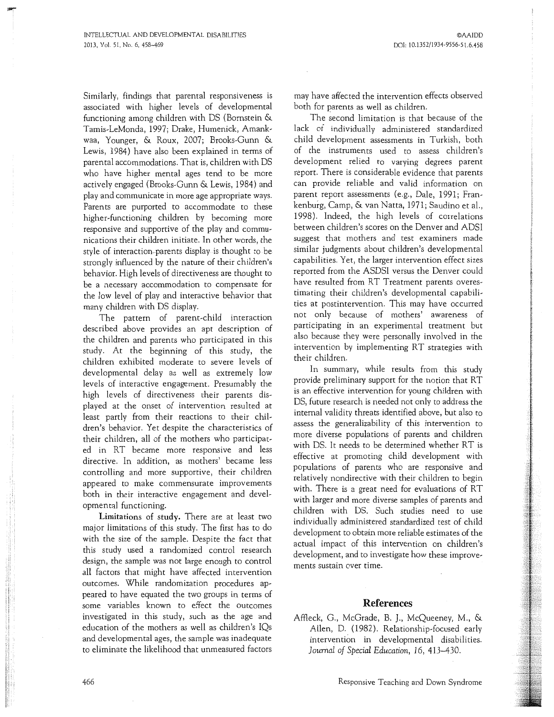Similarly, findings that parental responsiveness is associated with higher levels of developmental functioning among children with DS (Bomstein & Tamis-LeMonda, 1997; Drake, Humenick, Amankwaa, Younger, & Roux, 2007; Brooks-Gunn & Lewis, 1984) have also been explained in terms of parental accommodations. That is, children with DS who have higher mental ages tend to be more actively engaged (Brooks-Gunn & Lewis, 1984) and play and communicate in more age appropriate ways. Parents are purported to accommodate to these higher-functioning children by becoming more responsive and supportive of the play and communications their children initiate. In other words, the style of interaction~parents display is thought to be strongly influenced by the nature of their children's behavior. High levels of directiveness are thought to be a necessary accommodation to compensate for the low level of play and interactive behavior that many children with DS display.

The pattern of parent-child interaction described above provides an apt description of the children and parents who participated in this study. At the beginning of this study, the children exhibited moderate to severe levels of developmental delay as well as extremely low levels of interactive engagement. Presumably the high levels of directiveness their parents displayed at the onset of intervention resulted at least partly from their reactions to their children's behavior. Yet despite the characteristics of their children, all of the mothers who participated in RT became more responsive and less directive. In addition, as mothers' became less controlling and more supportive, their children appeared to make commensurate improvements both in their interactive engagement and developmental functioning.

**Limitations of study.** There are at least two major limitations of this study. The first has to do with the size of the sample. Despite the fact that this study used a randomized control research design, the sample was not large enough to control all factors that might have affected intervention outcomes. While randomization procedures appeared to have equated the two groups in terms of some variables known to effect the outcomes investigated in this study, such as the age and education of the mothers as well as children's IQs and developmental ages, the sample was inadequate to eliminate the likelihood that unmeasured factors may have affected the intervention effects observed both for parents as well as children.

The second limitation is that because of the lack of individually administered standardized child development assessments in Turkish, both of the instruments used to assess children's development relied to varying degrees parent report. There is considerable evidence that parents can provide reliable and valid information on parent report assessments (e.g., Dale, 1991; Frankenburg, Camp, & van Natta, 1971; Saudino et al., 1998). Indeed, the high levels of correlations between children's scores on the Denver and ADSI suggest that mothers and test examiners made similar judgments about children's developmental capabilities. Yet, the larger intervention effect sizes reported from the ASDSI versus the Denver could have resulted from RT Treatment parents overestimating their children's developmental capabilities at postintervention. This may have occurred not only because of mothers' awareness of participating in an experimental treatment but also because they were personally involved in the intervention by implementing RT strategies with their children.

In summary, while results from this study provide preliminary support for the notion that RT is an effective intervention for young children with DS, future research is needed not only to address the internal validity threats identified above, but also to assess the generalizability of this intervention to more diverse populations of parents and children with DS. It needs to be determined whether RT is effective at promoting child development with populations of parents who are responsive and relatively nondirective with their children to begin with. There is a great need for evaluations of RT with larger and more diverse samples of parents and children with DS. Such studies need to use individually administered standardized test of child development to obtain more reliable estimates of the actual impact of this intervention on children's development, and to investigate how these improvements sustain over time.

# **References**

Affleck, G., McGrade, B. *].,* McQueeney, M., & Allen, D. (1982). Relationship-focused early intervention in developmental disabilities. *Journal of Special Education, 16,* 413-430.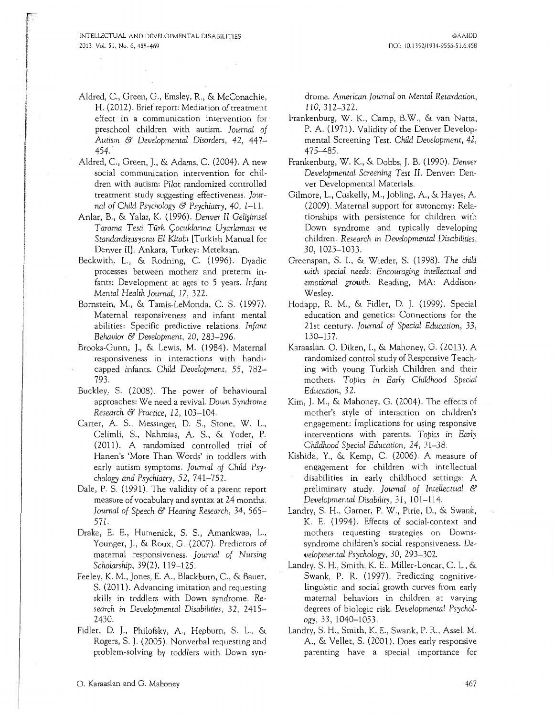- Aldred, C., Green, G., Emsley, R., & McConachie, H. (2012). Brief report: Mediation of treatment effect in a communication intervention for preschool children with autism. *Journal of Autism* & *Developmental Disorders, 42,* 447- 454.·
- Aldred, C., Green,]., & Adams, C. (2004). A new social communication intervention for children with autism: Pilot randomized controlled treatment study suggesting effectiveness. *Journal of Child Psychology* & *Psychiatry, 40,* 1-11.
- Anlar, B., & Yalaz, K. (1996). *Denver II Gelisimsel Tarama Testi Turk (;ocuklarma Uyarlamasz ve Standardizasyonu El Kitabz* [Turkish Manual for Denver II]. Ankara, Turkey: Meteksan.
- Beckwith, L., & Rodning, C. (1996). Dyadic processes between mothers and preterm infants: Development at ages to 5 years. *Infant Mental Health Journal,* 17, 322.
- Bomstein, M., & Tamis-LeMonda, C. S. (1997). Maternal responsiveness and infant mental abilities: Specific predictive relations. *Infant Behavior* & *Development,* 20, 283-296.
- Brooks-Gunn, *].,* & Lewis, M. (1984). Maternal responsiveness in interactions with handicapped infants. *Child Development,* 55, 782- 793.
- Buckley, S. (2008). The power of behavioural approaches: We need a revival. *Down Syndrome Research* & *Practice,* 12, 103-104.
- Carter, A. S., Messinger, D. S., Stone, W. L., Celimli, S., Nahmias, A. S., & Yoder, P. (2011). A randomized controlled trial of Hanen's 'More Than Words' in toddlers with early autism symptoms. *Journal of Child Psychology and Psychiatry,* 52, 741-752.
- Dale, P. S. (1991). The validity of a parent report measure of vocabulary and syntax at 24 months. *Journal of Speech* & *Hearing Research, 34,* 565- 571.
- Drake, E. E., Humenick, S. S., Amankwaa, L., Younger,]., & Roux, G. (2007). Predictors of maternal responsiveness. *Journal of Nursing Scholarship,* 39(2), 119-125.
- Feeley, K. M., Jones, E. A., Blackburn, C., & Bauer, S. (2011). Advancing imitation and requesting skills in toddlers with Down syndrome. *Research in Developmental Disabilities, 3* 2, 2415- 2430.
- Fidler, D. *].,* Philofsky, A., Hepburn, S. L., & Rogers, S.]. (2005). Nonverbal requesting and problem-solving by toddlers with Down syn-

drome. *American Journal on Mental Retardation,*  110, 312-322.

- Frankenburg, W. K., Camp, B.W., & van Natta, P. A. (1971). Validity of the Denver Developmental Screening Test. *Child Development, 42,*  475-485.
- Frankenburg, W. K., & Dobbs,]. B. (1990). *Denver Developmental Screening Test II.* Denver: Denver Developmental Materials.
- Gilmore, L., Cuskelly, M., Jobling, A., & Hayes, A. (2009). Maternal support for autonomy: Relationships with persistence for children with Down syndrome and typically developing children. *Research in Developmental Disabilities, 30,* 1023-1033.
- Greenspan, S. I., & Wieder, S. (1998). *The child with special needs: Encouraging intellectual and emotional growth.* Reading, MA: Addison-Wesley.
- Hodapp, R. M., & Fidler, D. *].* (1999). Special education and genetics: Connections for the 21st century. *Journal of Special Education, 33,*  130-137.
- Karaaslan, 0. Diken, I., & Mahoney, G. (2013). A randomized control study of Responsive Teaching with young Turkish Children and their mothers. *Topics in Early Childhood Special Education, 3* 2.
- Kim, J. M., & Mahoney, G. (2004). The effects of mother's style of interaction on children's engagement: Implications for using responsive interventions with parents. *Topics in Early Childhood Special Education, 24,* 31-3 8.
- Kishida, Y., & Kemp, C. (2006). A measure of engagement for children with intellectual disabilities in early childhood settings: A preliminary study. *Journal of Intellectual* & Developmental Disability, 31, 101-114.
- Landry, S. H., Gamer, P. W., Pirie, D., & Swank, K. E. ( 1994). Effects of social-context and mothers requesting strategies on Downssyndrome children's social responsiveness. *Developmental Psychology, 30,* 293-302.
- Landry, S. H., Smith, K. E., Miller-Loncar, C. L., & Swank, P. R. (1997). Predicting cognitivelinguistic and social growth curves from early maternal behaviors in children at varying degrees of biologic risk. *Developmental Psychology, 33,* 1040-1053.
- Landry, S. H., Smith, K. E., Swank, P.R., Assel, M. A., & Vellet, S. (2001). Does early responsive parenting have a special importance for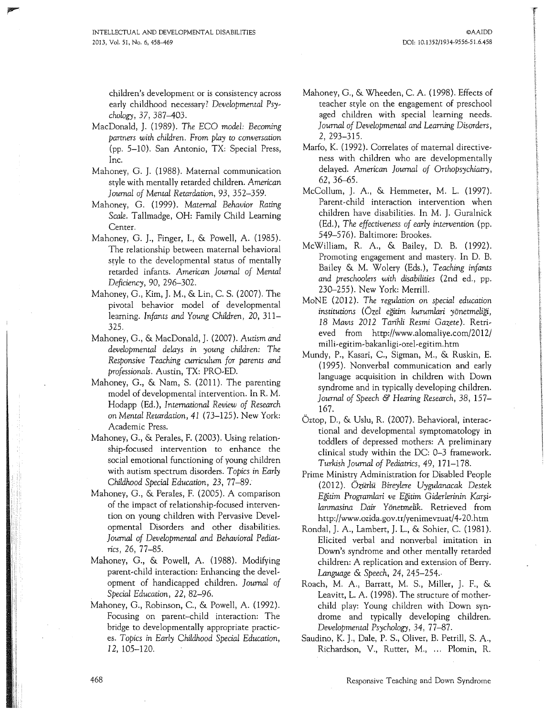children's development or is consistency across early childhood necessary? *Developmental Psychology, 37,* 387--403.

- MacDonald, J. ( 1989). *The* ECO *model:* Becoming *partners with children.* From *play to conversation*  (pp. 5-10). San Antonio, TX: Special Press, Inc.
- Mahoney, G. *].* (1988). Maternal communication style with mentally retarded children. *American Journal of Mental Retardation,* 93, 352-359.
- Mahoney, G. (1999). *Maternal Behavior Rating Scale.* Tallmadge, OH: Family Child Learning Center.
- Mahoney, G. *].,* Finger, I., & Powell, A. (1985). The relationship between maternal behavioral style to the developmental status of mentally retarded infants. *American journal of Mental Deficiency,* 90, 296-302.
- Mahoney, G., Kim, J. M., & Lin, C. S. (2007). The pivotal behavior model of developmental learning. *Infants and Young Children,* 20, 311- 325.
- Mahoney, G., & MacDonald, J. (2007). *Autism and developmental delays* in *young children: The Responsive Teaching curriculum for parents and professionals.* Austin, TX: PRO-ED.
- Mahoney, G., & Nam, S. (2011). The parenting model of developmental intervention. In R. M. Hodapp (Ed.), *International Review of Research*  on *Mental Retardation, 41* (73-125). New York: Academic Press.
- Mahoney, G., & Perales, F. (2003). Using relationship-focused intervention to enhance the social emotional functioning of young children with autism spectrum disorders. *Topics* in *Early Childhood Special Education, 23,* 77-89.
- Mahoney, G., & Perales, F. (2005). A comparison of the impact of relationship-focused intervention on young children with Pervasive Developmental Disorders and other disabilities. *Journal of Developmental and Behavioral* Pediat*rics,* 26, 77-85.
- Mahoney, G., & Powell, A. (1988). Modifying parent-child interaction: Enhancing the development of handicapped children. *Journal of Special Education,* 22, 82-96.
- Mahoney, G., Robinson, C., & Powell, A. (1992). Focusing on parent-child interaction: The bridge to developmentally appropriate practices. Topics in *Early Childhood Special Education, 12,* 105-120.

DOl: 10. I 332/1934-9556-51.6.458

©AAIDD

- Mahoney, G., & Wheeden, C. A. (1998). Effects of teacher style on the engagement of preschool aged children with special learning needs. *Journal of Developmental and* Learning *Disorders,*  2, 293-315.
- Marfo, K. (1992). Correlates of maternal directiveness with children who are developmentally delayed. American *Journal of Orthopsychiatry,*  62, 36-65.
- McCollum, *].* A., & Hemmeter, M. L. (1997). Parent-child interaction intervention when children have disabilities. In M. *].* Guralnick (Ed.), *The effectiveness of early intervention* (pp. 549-576). Baltimore: Brookes.
- McWilliam, R. A., & Bailey, D. B. (1992). Promoting engagement and mastery. In D. B. Bailey & M. W olery (Eds.), *Teaching infants and preschoolers with disabilities* (2nd ed., pp. 230-255). New York: Merrill.
- MaNE (2012). *The regulation* on *special education institutions (Ozel* egitim *kurumlari yonetmeligi, 18 Mavzs 2012 Tarihli Resmi Gazete).* Retrieved from http://www.alomaliye.com/2012/ milli -egitim-bakanligi -ozel-egi tim.htm
- Mundy, P., Kasari, C., Sigman, M., & Ruskin, E. (1995). Nonverbal communication and early language acquisition in children with Down syndrome and in typically developing children. *Journal of Speech* & *Hearing Research, 38,* 157- 167.
- Oztop, D., & Uslu, R. (2007). Behavioral, interactional and developmental symptomatology in toddlers of depressed mothers: A preliminary clinical study within the DC: 0-3 framework. *Turkish Journal of Pediatrics, 49,* 171-178.
- Prime Ministry Administration for Disabled People (2012). *Ozurlii. Bireylere Uygulanacak Destek*  Eğitim Programlari ve Eğitim Giderlerinin Karsi*lanmasina Dair Yonetmelik.* Retrieved from http://www.ozida.gov.tr/yenimevzuat/4-ZO.htm
- Rondal, J. A., Lambert, J. L., & Sohier, C. (1981). Elicited verbal and nonverbal imitation in Down's syndrome and other mentally retarded children: A replication and extension of Berry. *Language* & *Speech, 24,* 245-254.·
- Roach, M. A., Barratt, M. S., Miller, *].* F., & Leavitt, L.A. (1998). The structure of motherchild play: Young children with Down syndrome and typically developing children. *Developmental Psychology, 34,* 77-87.
- Saudino, K. J., Dale, P. S., Oliver, B. Petrill, S. A., RiChardson, V., Rutter, M., ... Plomin, R.